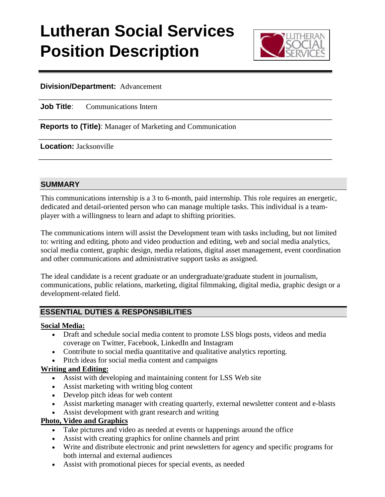# **Lutheran Social Services Position Description**



### **Division/Department:** Advancement

**Job Title:** Communications Intern

**Reports to (Title)**: Manager of Marketing and Communication

**Location:** Jacksonville

#### **SUMMARY**

This communications internship is a 3 to 6-month, paid internship. This role requires an energetic, dedicated and detail-oriented person who can manage multiple tasks. This individual is a teamplayer with a willingness to learn and adapt to shifting priorities.

The communications intern will assist the Development team with tasks including, but not limited to: writing and editing, photo and video production and editing, web and social media analytics, social media content, graphic design, media relations, digital asset management, event coordination and other communications and administrative support tasks as assigned.

The ideal candidate is a recent graduate or an undergraduate/graduate student in journalism, communications, public relations, marketing, digital filmmaking, digital media, graphic design or a development-related field.

# **ESSENTIAL DUTIES & RESPONSIBILITIES**

### **Social Media:**

- Draft and schedule social media content to promote LSS blogs posts, videos and media coverage on Twitter, Facebook, LinkedIn and Instagram
- Contribute to social media quantitative and qualitative analytics reporting.
- Pitch ideas for social media content and campaigns

#### **Writing and Editing:**

- Assist with developing and maintaining content for LSS Web site
- Assist marketing with writing blog content
- Develop pitch ideas for web content
- Assist marketing manager with creating quarterly, external newsletter content and e-blasts
- Assist development with grant research and writing

## **Photo, Video and Graphics**

- Take pictures and video as needed at events or happenings around the office
- Assist with creating graphics for online channels and print
- Write and distribute electronic and print newsletters for agency and specific programs for both internal and external audiences
- Assist with promotional pieces for special events, as needed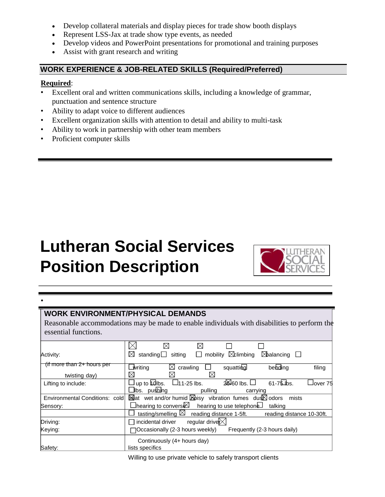- Develop collateral materials and display pieces for trade show booth displays
- Represent LSS-Jax at trade show type events, as needed
- Develop videos and PowerPoint presentations for promotional and training purposes
- Assist with grant research and writing

# **WORK EXPERIENCE & JOB-RELATED SKILLS (Required/Preferred)**

#### **Required**:

•

- Excellent oral and written communications skills, including a knowledge of grammar, punctuation and sentence structure
- Ability to adapt voice to different audiences
- Excellent organization skills with attention to detail and ability to multi-task
- Ability to work in partnership with other team members
- Proficient computer skills

# **Lutheran Social Services Position Description**



#### **WORK ENVIRONMENT/PHYSICAL DEMANDS**

Reasonable accommodations may be made to enable individuals with disabilities to perform the essential functions.

| Activity:                      | mobility $\boxtimes$ climbing<br>standing $\Box$ sitting<br>⊠<br>$\boxtimes$ balancing $\Box$<br>ப |  |  |
|--------------------------------|----------------------------------------------------------------------------------------------------|--|--|
| (if more than $2+$ hours per   | ⊠<br>behding<br>_writing<br>crawling<br>squatting<br>filing                                        |  |  |
| twisting day)                  | ⊠                                                                                                  |  |  |
| Lifting to include:            | $2660$ lbs. $\Box$<br>up to $\text{tdlbs}$ . $\Box$ 11-25 lbs.<br>$61 - 75$ lbs.<br>⊿over 75       |  |  |
|                                | Jibs. pushing<br>pulling<br>carrying                                                               |  |  |
| Environmental Conditions: cold | Meat wet and/or humid Moisy vibration fumes dus dolors mists                                       |  |  |
| Sensory:                       | $\Box$ hearing to convers $\boxtimes$ hearing to use telephone $\Box$<br>talking                   |  |  |
|                                | tasting/smelling $\boxtimes$ reading distance 1-5ft. reading distance 10-30ft.                     |  |  |
| Driving:                       | incidental driver regular drive $\not\approx$                                                      |  |  |
| Keying:                        | ∏Occasionally (2-3 hours weekly)<br>Frequently (2-3 hours daily)                                   |  |  |
|                                | Continuously (4+ hours day)                                                                        |  |  |
| Safety:                        | lists specifics                                                                                    |  |  |

Willing to use private vehicle to safely transport clients